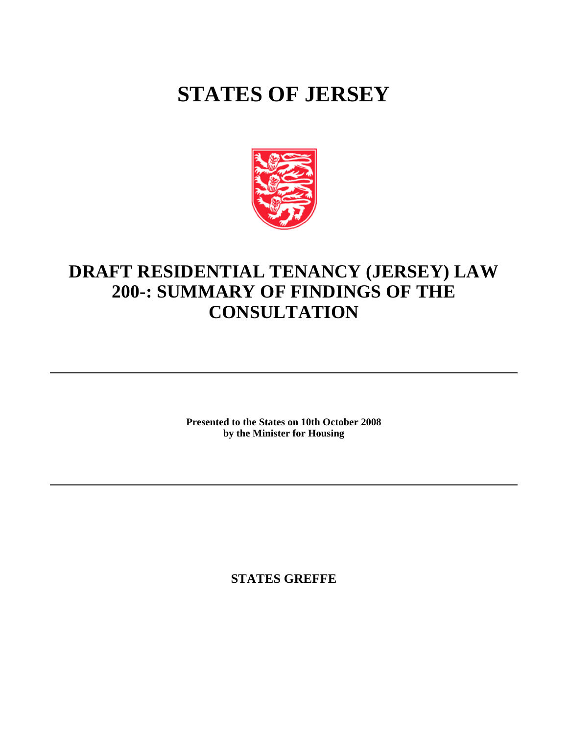# **STATES OF JERSEY**



## **DRAFT RESIDENTIAL TENANCY (JERSEY) LAW 200-: SUMMARY OF FINDINGS OF THE CONSULTATION**

**Presented to the States on 10th October 2008 by the Minister for Housing**

**STATES GREFFE**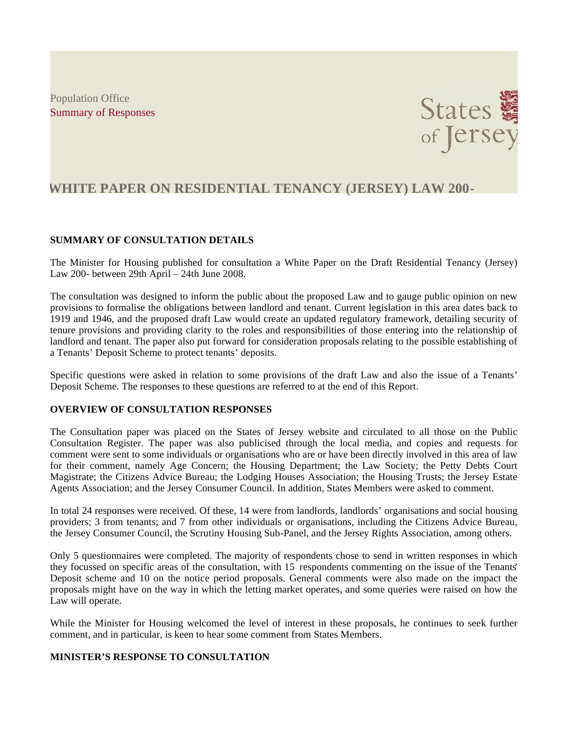Population Office Summary of Responses



### **WHITE PAPER ON RESIDENTIAL TENANCY (JERSEY) LAW 200-**

#### **SUMMARY OF CONSULTATION DETAILS**

The Minister for Housing published for consultation a White Paper on the Draft Residential Tenancy (Jersey) Law 200- between 29th April – 24th June 2008.

The consultation was designed to inform the public about the proposed Law and to gauge public opinion on new provisions to formalise the obligations between landlord and tenant. Current legislation in this area dates back to 1919 and 1946, and the proposed draft Law would create an updated regulatory framework, detailing security of tenure provisions and providing clarity to the roles and responsibilities of those entering into the relationship of landlord and tenant. The paper also put forward for consideration proposals relating to the possible establishing of a Tenants' Deposit Scheme to protect tenants' deposits.

Specific questions were asked in relation to some provisions of the draft Law and also the issue of a Tenants' Deposit Scheme. The responses to these questions are referred to at the end of this Report.

#### **OVERVIEW OF CONSULTATION RESPONSES**

The Consultation paper was placed on the States of Jersey website and circulated to all those on the Public Consultation Register. The paper was also publicised through the local media, and copies and requests for comment were sent to some individuals or organisations who are or have been directly involved in this area of law for their comment, namely Age Concern; the Housing Department; the Law Society; the Petty Debts Court Magistrate; the Citizens Advice Bureau; the Lodging Houses Association; the Housing Trusts; the Jersey Estate Agents Association; and the Jersey Consumer Council. In addition, States Members were asked to comment.

In total 24 responses were received. Of these, 14 were from landlords, landlords' organisations and social housing providers; 3 from tenants; and 7 from other individuals or organisations, including the Citizens Advice Bureau, the Jersey Consumer Council, the Scrutiny Housing Sub-Panel, and the Jersey Rights Association, among others.

Only 5 questionnaires were completed. The majority of respondents chose to send in written responses in which they focussed on specific areas of the consultation, with 15 respondents commenting on the issue of the Tenants' Deposit scheme and 10 on the notice period proposals. General comments were also made on the impact the proposals might have on the way in which the letting market operates, and some queries were raised on how the Law will operate.

While the Minister for Housing welcomed the level of interest in these proposals, he continues to seek further comment, and in particular, is keen to hear some comment from States Members.

#### **MINISTER'S RESPONSE TO CONSULTATION**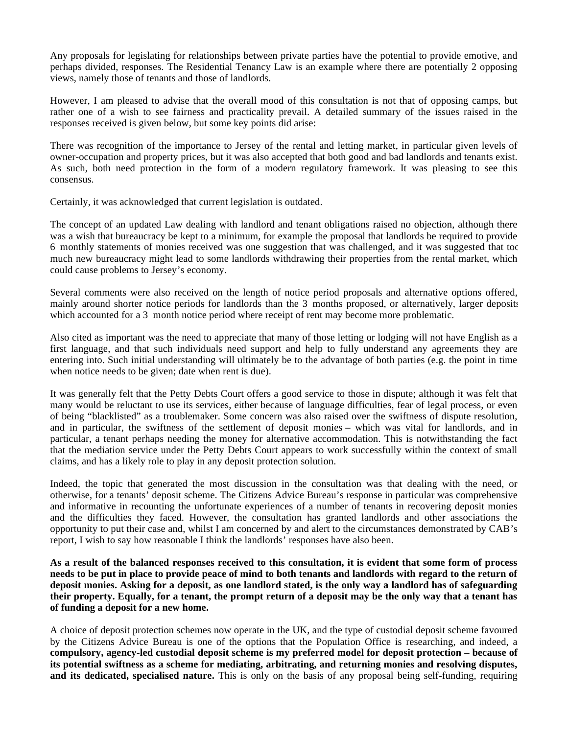Any proposals for legislating for relationships between private parties have the potential to provide emotive, and perhaps divided, responses. The Residential Tenancy Law is an example where there are potentially 2 opposing views, namely those of tenants and those of landlords.

However, I am pleased to advise that the overall mood of this consultation is not that of opposing camps, but rather one of a wish to see fairness and practicality prevail. A detailed summary of the issues raised in the responses received is given below, but some key points did arise:

There was recognition of the importance to Jersey of the rental and letting market, in particular given levels of owner-occupation and property prices, but it was also accepted that both good and bad landlords and tenants exist. As such, both need protection in the form of a modern regulatory framework. It was pleasing to see this consensus.

Certainly, it was acknowledged that current legislation is outdated.

The concept of an updated Law dealing with landlord and tenant obligations raised no objection, although there was a wish that bureaucracy be kept to a minimum, for example the proposal that landlords be required to provide 6 monthly statements of monies received was one suggestion that was challenged, and it was suggested that too much new bureaucracy might lead to some landlords withdrawing their properties from the rental market, which could cause problems to Jersey's economy.

Several comments were also received on the length of notice period proposals and alternative options offered, mainly around shorter notice periods for landlords than the 3 months proposed, or alternatively, larger deposits which accounted for a 3 month notice period where receipt of rent may become more problematic.

Also cited as important was the need to appreciate that many of those letting or lodging will not have English as a first language, and that such individuals need support and help to fully understand any agreements they are entering into. Such initial understanding will ultimately be to the advantage of both parties (e.g. the point in time when notice needs to be given; date when rent is due).

It was generally felt that the Petty Debts Court offers a good service to those in dispute; although it was felt that many would be reluctant to use its services, either because of language difficulties, fear of legal process, or even of being "blacklisted" as a troublemaker. Some concern was also raised over the swiftness of dispute resolution, and in particular, the swiftness of the settlement of deposit monies – which was vital for landlords, and in particular, a tenant perhaps needing the money for alternative accommodation. This is notwithstanding the fact that the mediation service under the Petty Debts Court appears to work successfully within the context of small claims, and has a likely role to play in any deposit protection solution.

Indeed, the topic that generated the most discussion in the consultation was that dealing with the need, or otherwise, for a tenants' deposit scheme. The Citizens Advice Bureau's response in particular was comprehensive and informative in recounting the unfortunate experiences of a number of tenants in recovering deposit monies and the difficulties they faced. However, the consultation has granted landlords and other associations the opportunity to put their case and, whilst I am concerned by and alert to the circumstances demonstrated by CAB's report, I wish to say how reasonable I think the landlords' responses have also been.

**As a result of the balanced responses received to this consultation, it is evident that some form of process needs to be put in place to provide peace of mind to both tenants and landlords with regard to the return of deposit monies. Asking for a deposit, as one landlord stated, is the only way a landlord has of safeguarding their property. Equally, for a tenant, the prompt return of a deposit may be the only way that a tenant has of funding a deposit for a new home.**

A choice of deposit protection schemes now operate in the UK, and the type of custodial deposit scheme favoured by the Citizens Advice Bureau is one of the options that the Population Office is researching, and indeed, a **compulsory, agency-led custodial deposit scheme is my preferred model for deposit protection – because of its potential swiftness as a scheme for mediating, arbitrating, and returning monies and resolving disputes, and its dedicated, specialised nature.** This is only on the basis of any proposal being self-funding, requiring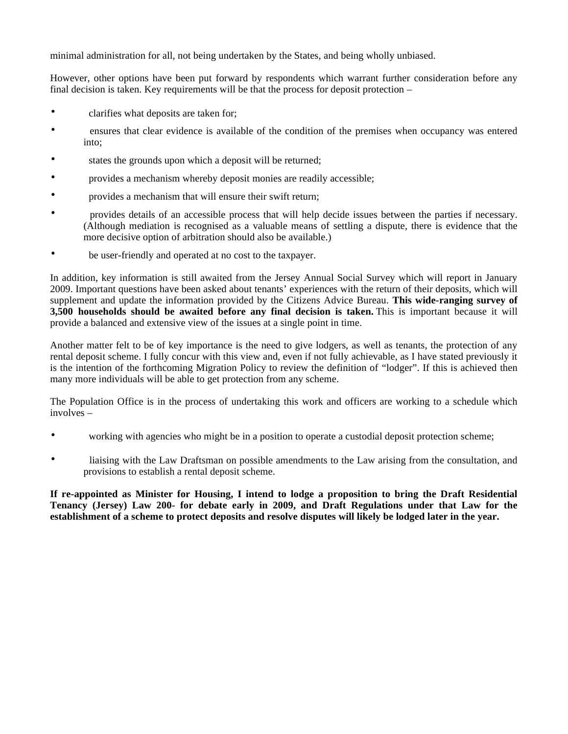minimal administration for all, not being undertaken by the States, and being wholly unbiased.

However, other options have been put forward by respondents which warrant further consideration before any final decision is taken. Key requirements will be that the process for deposit protection –

- clarifies what deposits are taken for;
- ensures that clear evidence is available of the condition of the premises when occupancy was entered into;
- states the grounds upon which a deposit will be returned;
- provides a mechanism whereby deposit monies are readily accessible;
- provides a mechanism that will ensure their swift return;
- provides details of an accessible process that will help decide issues between the parties if necessary. (Although mediation is recognised as a valuable means of settling a dispute, there is evidence that the more decisive option of arbitration should also be available.)
- be user-friendly and operated at no cost to the taxpayer.

In addition, key information is still awaited from the Jersey Annual Social Survey which will report in January 2009. Important questions have been asked about tenants' experiences with the return of their deposits, which will supplement and update the information provided by the Citizens Advice Bureau. **This wide-ranging survey of 3,500 households should be awaited before any final decision is taken.** This is important because it will provide a balanced and extensive view of the issues at a single point in time.

Another matter felt to be of key importance is the need to give lodgers, as well as tenants, the protection of any rental deposit scheme. I fully concur with this view and, even if not fully achievable, as I have stated previously it is the intention of the forthcoming Migration Policy to review the definition of "lodger". If this is achieved then many more individuals will be able to get protection from any scheme.

The Population Office is in the process of undertaking this work and officers are working to a schedule which involves –

- working with agencies who might be in a position to operate a custodial deposit protection scheme;
- liaising with the Law Draftsman on possible amendments to the Law arising from the consultation, and provisions to establish a rental deposit scheme.

**If re-appointed as Minister for Housing, I intend to lodge a proposition to bring the Draft Residential Tenancy (Jersey) Law 200- for debate early in 2009, and Draft Regulations under that Law for the establishment of a scheme to protect deposits and resolve disputes will likely be lodged later in the year.**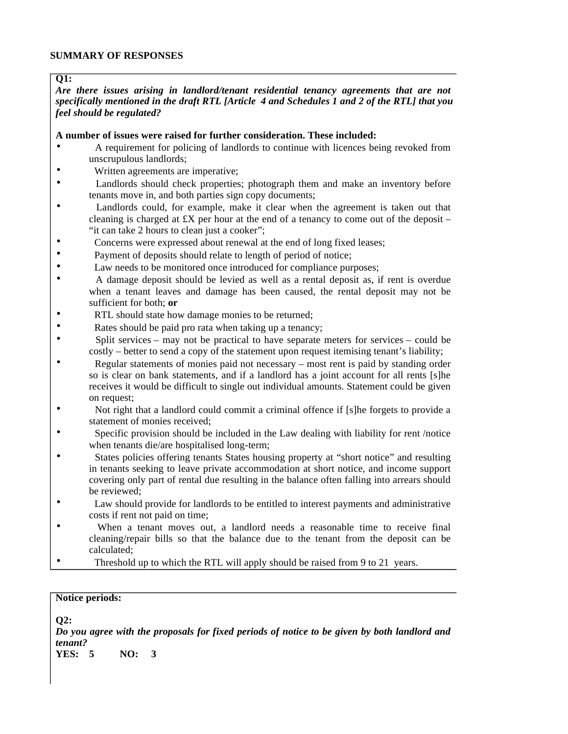#### **SUMMARY OF RESPONSES**

#### **Q1:**

*Are there issues arising in landlord/tenant residential tenancy agreements that are not specifically mentioned in the draft RTL [Article 4 and Schedules 1 and 2 of the RTL] that you feel should be regulated?*

#### **A number of issues were raised for further consideration. These included:**

- A requirement for policing of landlords to continue with licences being revoked from unscrupulous landlords;
- Written agreements are imperative;
- Landlords should check properties; photograph them and make an inventory before tenants move in, and both parties sign copy documents;
- Landlords could, for example, make it clear when the agreement is taken out that cleaning is charged at  $\pounds X$  per hour at the end of a tenancy to come out of the deposit – "it can take 2 hours to clean just a cooker";
- Concerns were expressed about renewal at the end of long fixed leases;
- Payment of deposits should relate to length of period of notice;
- Law needs to be monitored once introduced for compliance purposes;
- A damage deposit should be levied as well as a rental deposit as, if rent is overdue when a tenant leaves and damage has been caused, the rental deposit may not be sufficient for both; **or**
- RTL should state how damage monies to be returned;
- Rates should be paid pro rata when taking up a tenancy;
- Split services may not be practical to have separate meters for services could be costly – better to send a copy of the statement upon request itemising tenant's liability;
- Regular statements of monies paid not necessary most rent is paid by standing order so is clear on bank statements, and if a landlord has a joint account for all rents [s]he receives it would be difficult to single out individual amounts. Statement could be given on request;
- Not right that a landlord could commit a criminal offence if [s]he forgets to provide a statement of monies received;
- Specific provision should be included in the Law dealing with liability for rent /notice when tenants die/are hospitalised long-term;
- States policies offering tenants States housing property at "short notice" and resulting in tenants seeking to leave private accommodation at short notice, and income support covering only part of rental due resulting in the balance often falling into arrears should be reviewed;
- Law should provide for landlords to be entitled to interest payments and administrative costs if rent not paid on time;
- When a tenant moves out, a landlord needs a reasonable time to receive final cleaning/repair bills so that the balance due to the tenant from the deposit can be calculated;
- Threshold up to which the RTL will apply should be raised from 9 to 21 years.

#### **Notice periods:**

**Q2:**

*Do you agree with the proposals for fixed periods of notice to be given by both landlord and tenant?*

**YES: 5 NO: 3**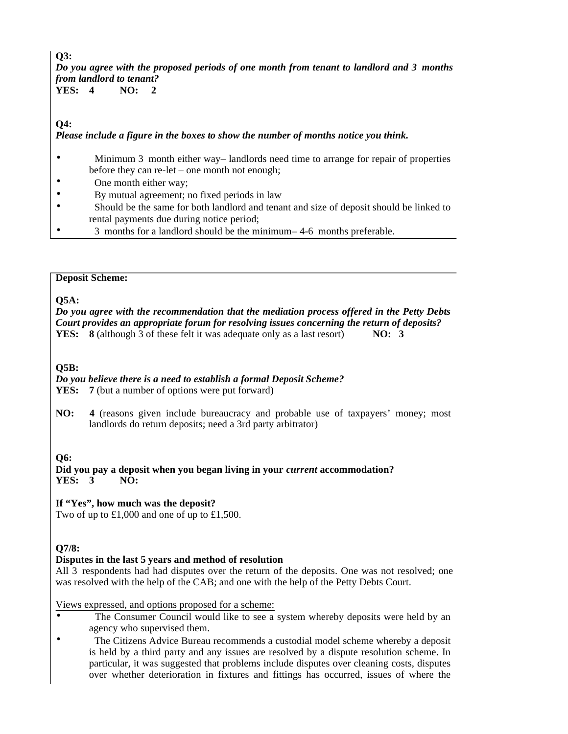**Q3:** *Do you agree with the proposed periods of one month from tenant to landlord and 3 months from landlord to tenant?*<br>YES: 4 NO: 2

**NO:** 2

**Q4:**

*Please include a figure in the boxes to show the number of months notice you think.*

- Minimum 3 month either way landlords need time to arrange for repair of properties before they can re-let – one month not enough;
- One month either way;
- By mutual agreement; no fixed periods in law
- Should be the same for both landlord and tenant and size of deposit should be linked to rental payments due during notice period;
- 3 months for a landlord should be the minimum 4-6 months preferable.

#### **Deposit Scheme:**

**Q5A:**

*Do you agree with the recommendation that the mediation process offered in the Petty Debts Court provides an appropriate forum for resolving issues concerning the return of deposits?* **YES: 8** (although 3 of these felt it was adequate only as a last resort) **NO: 3**

**Q5B:**

*Do you believe there is a need to establish a formal Deposit Scheme?*

**YES:** 7 (but a number of options were put forward)

**NO: 4** (reasons given include bureaucracy and probable use of taxpayers' money; most landlords do return deposits; need a 3rd party arbitrator)

**Q6:**

**Did you pay a deposit when you began living in your** *current* **accommodation? YES: 3 NO:** 

**If "Yes", how much was the deposit?**

Two of up to £1,000 and one of up to £1,500.

#### **Q7/8:**

#### **Disputes in the last 5 years and method of resolution**

All 3 respondents had had disputes over the return of the deposits. One was not resolved; one was resolved with the help of the CAB; and one with the help of the Petty Debts Court.

Views expressed, and options proposed for a scheme:

- The Consumer Council would like to see a system whereby deposits were held by an agency who supervised them.
- The Citizens Advice Bureau recommends a custodial model scheme whereby a deposit is held by a third party and any issues are resolved by a dispute resolution scheme. In particular, it was suggested that problems include disputes over cleaning costs, disputes over whether deterioration in fixtures and fittings has occurred, issues of where the